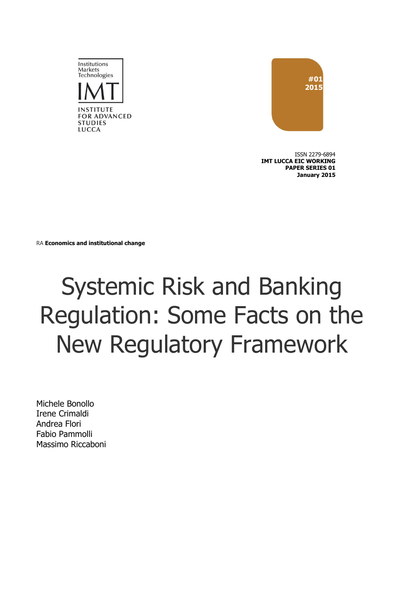



ISSN 2279-6894 **IMT LUCCA EIC WORKING PAPER SERIES 01 January 2015**

RA **Economics and institutional change**

## Systemic Risk and Banking Regulation: Some Facts on the New Regulatory Framework

Michele Bonollo Irene Crimaldi Andrea Flori Fabio Pammolli Massimo Riccaboni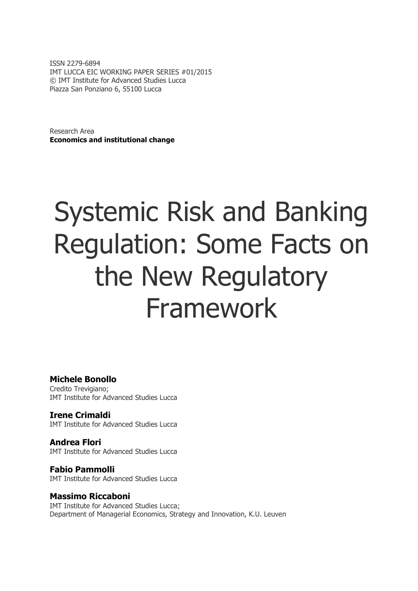ISSN 2279-6894 IMT LUCCA EIC WORKING PAPER SERIES #01/2015 © IMT Institute for Advanced Studies Lucca Piazza San Ponziano 6, 55100 Lucca

Research Area **Economics and institutional change**

# Systemic Risk and Banking Regulation: Some Facts on the New Regulatory Framework

#### **Michele Bonollo**

Credito Trevigiano; IMT Institute for Advanced Studies Lucca

**Irene Crimaldi** IMT Institute for Advanced Studies Lucca

**Andrea Flori** IMT Institute for Advanced Studies Lucca

**Fabio Pammolli** IMT Institute for Advanced Studies Lucca

#### **Massimo Riccaboni**

IMT Institute for Advanced Studies Lucca; Department of Managerial Economics, Strategy and Innovation, K.U. Leuven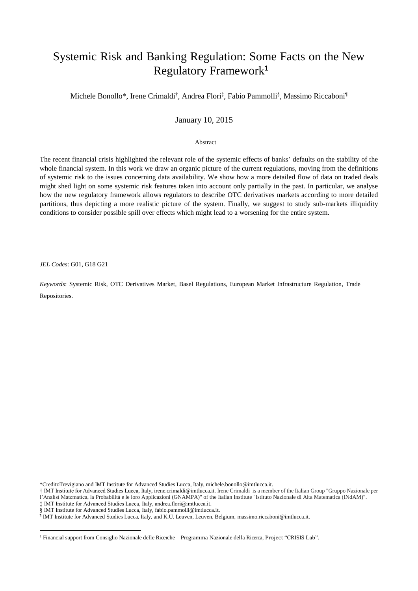### Systemic Risk and Banking Regulation: Some Facts on the New Regulatory Framework**<sup>1</sup>**

Michele Bonollo\*, Irene Crimaldi<sup>†</sup>, Andrea Flori<sup>‡</sup>, Fabio Pammolli<sup>§</sup>, Massimo Riccaboni<sup>1</sup>

#### January 10, 2015

Abstract

The recent financial crisis highlighted the relevant role of the systemic effects of banks' defaults on the stability of the whole financial system. In this work we draw an organic picture of the current regulations, moving from the definitions of systemic risk to the issues concerning data availability. We show how a more detailed flow of data on traded deals might shed light on some systemic risk features taken into account only partially in the past. In particular, we analyse how the new regulatory framework allows regulators to describe OTC derivatives markets according to more detailed partitions, thus depicting a more realistic picture of the system. Finally, we suggest to study sub-markets illiquidity conditions to consider possible spill over effects which might lead to a worsening for the entire system.

*JEL Codes*: G01, G18 G21

**.** 

*Keywords*: Systemic Risk, OTC Derivatives Market, Basel Regulations, European Market Infrastructure Regulation, Trade Repositories.

\*CreditoTrevigiano and IMT Institute for Advanced Studies Lucca, Italy, michele.bonollo@imtlucca.it.

- † IMT Institute for Advanced Studies Lucca, Italy, irene.crimaldi@imtlucca.it. Irene Crimaldi is a member of the Italian Group "Gruppo Nazionale per
- l'Analisi Matematica, la Probabilità e le loro Applicazioni (GNAMPA)" of the Italian Institute "Istituto Nazionale di Alta Matematica (INdAM)".
- ‡ IMT Institute for Advanced Studies Lucca, Italy, andrea.flori@imtlucca.it.
- 
- § IMT Institute for Advanced Studies Lucca, Italy, fabio.pammolli@imtlucca.it.<br>『IMT Institute for Advanced Studies Lucca, Italy, and K.U. Leuven, Leuven, Belgium, massimo.riccaboni@imtlucca.it.

<sup>1</sup> Financial support from Consiglio Nazionale delle Ricerche – Programma Nazionale della Ricerca, Project "CRISIS Lab".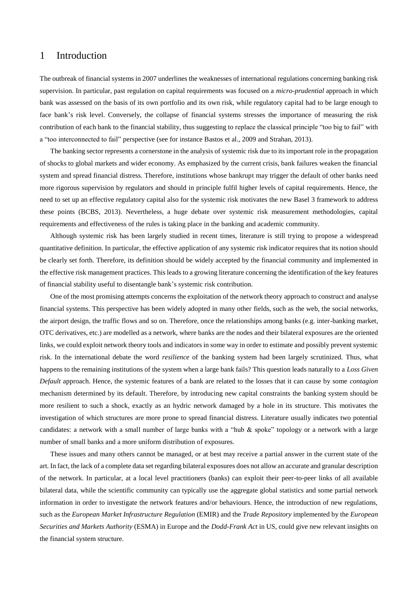#### 1 Introduction

The outbreak of financial systems in 2007 underlines the weaknesses of international regulations concerning banking risk supervision. In particular, past regulation on capital requirements was focused on a *micro-prudential* approach in which bank was assessed on the basis of its own portfolio and its own risk, while regulatory capital had to be large enough to face bank's risk level. Conversely, the collapse of financial systems stresses the importance of measuring the risk contribution of each bank to the financial stability, thus suggesting to replace the classical principle "too big to fail" with a "too interconnected to fail" perspective (see for instance Bastos et al., 2009 and Strahan, 2013).

The banking sector represents a cornerstone in the analysis of systemic risk due to its important role in the propagation of shocks to global markets and wider economy. As emphasized by the current crisis, bank failures weaken the financial system and spread financial distress. Therefore, institutions whose bankrupt may trigger the default of other banks need more rigorous supervision by regulators and should in principle fulfil higher levels of capital requirements. Hence, the need to set up an effective regulatory capital also for the systemic risk motivates the new Basel 3 framework to address these points (BCBS, 2013). Nevertheless, a huge debate over systemic risk measurement methodologies, capital requirements and effectiveness of the rules is taking place in the banking and academic community.

Although systemic risk has been largely studied in recent times, literature is still trying to propose a widespread quantitative definition. In particular, the effective application of any systemic risk indicator requires that its notion should be clearly set forth. Therefore, its definition should be widely accepted by the financial community and implemented in the effective risk management practices. This leads to a growing literature concerning the identification of the key features of financial stability useful to disentangle bank's systemic risk contribution.

One of the most promising attempts concerns the exploitation of the network theory approach to construct and analyse financial systems. This perspective has been widely adopted in many other fields, such as the web, the social networks, the airport design, the traffic flows and so on. Therefore, once the relationships among banks (e.g. inter-banking market, OTC derivatives, etc.) are modelled as a network, where banks are the nodes and their bilateral exposures are the oriented links, we could exploit network theory tools and indicators in some way in order to estimate and possibly prevent systemic risk. In the international debate the word *resilience* of the banking system had been largely scrutinized. Thus, what happens to the remaining institutions of the system when a large bank fails? This question leads naturally to a *Loss Given Default* approach. Hence, the systemic features of a bank are related to the losses that it can cause by some *contagion* mechanism determined by its default. Therefore, by introducing new capital constraints the banking system should be more resilient to such a shock, exactly as an hydric network damaged by a hole in its structure. This motivates the investigation of which structures are more prone to spread financial distress. Literature usually indicates two potential candidates: a network with a small number of large banks with a "hub & spoke" topology or a network with a large number of small banks and a more uniform distribution of exposures.

These issues and many others cannot be managed, or at best may receive a partial answer in the current state of the art. In fact, the lack of a complete data set regarding bilateral exposures does not allow an accurate and granular description of the network. In particular, at a local level practitioners (banks) can exploit their peer-to-peer links of all available bilateral data, while the scientific community can typically use the aggregate global statistics and some partial network information in order to investigate the network features and/or behaviours. Hence, the introduction of new regulations, such as the *European Market Infrastructure Regulation* (EMIR) and the *Trade Repository* implemented by the *European Securities and Markets Authority* (ESMA) in Europe and the *Dodd-Frank Act* in US, could give new relevant insights on the financial system structure.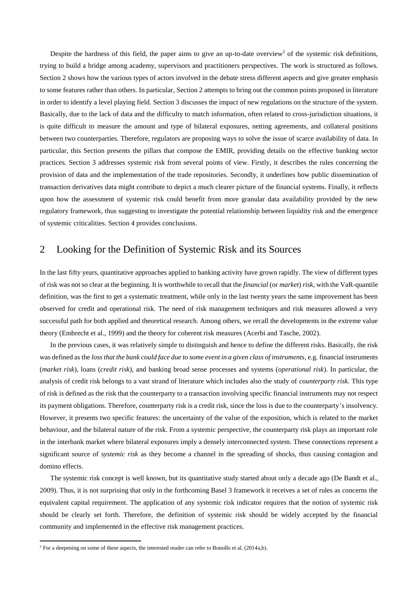Despite the hardness of this field, the paper aims to give an up-to-date overview<sup>2</sup> of the systemic risk definitions, trying to build a bridge among academy, supervisors and practitioners perspectives. The work is structured as follows. Section 2 shows how the various types of actors involved in the debate stress different aspects and give greater emphasis to some features rather than others. In particular, Section 2 attempts to bring out the common points proposed in literature in order to identify a level playing field. Section 3 discusses the impact of new regulations on the structure of the system. Basically, due to the lack of data and the difficulty to match information, often related to cross-jurisdiction situations, it is quite difficult to measure the amount and type of bilateral exposures, netting agreements, and collateral positions between two counterparties. Therefore, regulators are proposing ways to solve the issue of scarce availability of data. In particular, this Section presents the pillars that compose the EMIR, providing details on the effective banking sector practices. Section 3 addresses systemic risk from several points of view. Firstly, it describes the rules concerning the provision of data and the implementation of the trade repositories. Secondly, it underlines how public dissemination of transaction derivatives data might contribute to depict a much clearer picture of the financial systems. Finally, it reflects upon how the assessment of systemic risk could benefit from more granular data availability provided by the new regulatory framework, thus suggesting to investigate the potential relationship between liquidity risk and the emergence of systemic criticalities. Section 4 provides conclusions.

#### 2 Looking for the Definition of Systemic Risk and its Sources

In the last fifty years, quantitative approaches applied to banking activity have grown rapidly. The view of different types of risk was not so clear at the beginning. It is worthwhile to recall that the *financial* (or *market*) *risk*, with the VaR-quantile definition, was the first to get a systematic treatment, while only in the last twenty years the same improvement has been observed for credit and operational risk. The need of risk management techniques and risk measures allowed a very successful path for both applied and theoretical research. Among others, we recall the developments in the extreme value theory (Embrecht et al., 1999) and the theory for coherent risk measures (Acerbi and Tasche, 2002).

In the previous cases, it was relatively simple to distinguish and hence to define the different risks. Basically, the risk was defined as the *loss that the bank could face due to some event in a given class of instruments*, e.g. financial instruments (*market risk*), loans (*credit risk*), and banking broad sense processes and systems (*operational risk*). In particular, the analysis of credit risk belongs to a vast strand of literature which includes also the study of *counterparty risk*. This type of risk is defined as the risk that the counterparty to a transaction involving specific financial instruments may not respect its payment obligations. Therefore, counterparty risk is a credit risk, since the loss is due to the counterparty's insolvency. However, it presents two specific features: the uncertainty of the value of the exposition, which is related to the market behaviour, and the bilateral nature of the risk. From a systemic perspective, the counterparty risk plays an important role in the interbank market where bilateral exposures imply a densely interconnected system. These connections represent a significant source of *systemic risk* as they become a channel in the spreading of shocks, thus causing contagion and domino effects.

The systemic risk concept is well known, but its quantitative study started about only a decade ago (De Bandt et al., 2009). Thus, it is not surprising that only in the forthcoming Basel 3 framework it receives a set of rules as concerns the equivalent capital requirement. The application of any systemic risk indicator requires that the notion of systemic risk should be clearly set forth. Therefore, the definition of systemic risk should be widely accepted by the financial community and implemented in the effective risk management practices.

**.** 

<sup>&</sup>lt;sup>2</sup> For a deepening on some of these aspects, the interested reader can refer to Bonollo et al. (2014a,b).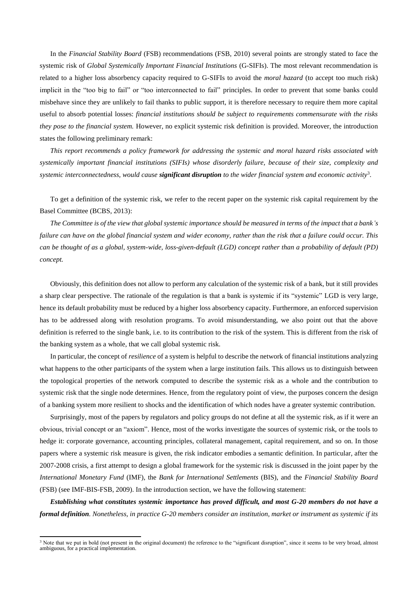In the *Financial Stability Board* (FSB) recommendations (FSB, 2010) several points are strongly stated to face the systemic risk of *Global Systemically Important Financial Institutions* (G-SIFIs). The most relevant recommendation is related to a higher loss absorbency capacity required to G-SIFIs to avoid the *moral hazard* (to accept too much risk) implicit in the "too big to fail" or "too interconnected to fail" principles. In order to prevent that some banks could misbehave since they are unlikely to fail thanks to public support, it is therefore necessary to require them more capital useful to absorb potential losses: *financial institutions should be subject to requirements commensurate with the risks they pose to the financial system.* However, no explicit systemic risk definition is provided. Moreover, the introduction states the following preliminary remark:

*This report recommends a policy framework for addressing the systemic and moral hazard risks associated with systemically important financial institutions (SIFIs) whose disorderly failure, because of their size, complexity and systemic interconnectedness, would cause significant disruption to the wider financial system and economic activity*<sup>3</sup> .

To get a definition of the systemic risk, we refer to the recent paper on the systemic risk capital requirement by the Basel Committee (BCBS, 2013):

*The Committee is of the view that global systemic importance should be measured in terms of the impact that a bank's failure can have on the global financial system and wider economy, rather than the risk that a failure could occur. This can be thought of as a global, system-wide, loss-given-default (LGD) concept rather than a probability of default (PD) concept.*

Obviously, this definition does not allow to perform any calculation of the systemic risk of a bank, but it still provides a sharp clear perspective. The rationale of the regulation is that a bank is systemic if its "systemic" LGD is very large, hence its default probability must be reduced by a higher loss absorbency capacity. Furthermore, an enforced supervision has to be addressed along with resolution programs. To avoid misunderstanding, we also point out that the above definition is referred to the single bank, i.e. to its contribution to the risk of the system. This is different from the risk of the banking system as a whole, that we call global systemic risk.

In particular, the concept of *resilience* of a system is helpful to describe the network of financial institutions analyzing what happens to the other participants of the system when a large institution fails. This allows us to distinguish between the topological properties of the network computed to describe the systemic risk as a whole and the contribution to systemic risk that the single node determines. Hence, from the regulatory point of view, the purposes concern the design of a banking system more resilient to shocks and the identification of which nodes have a greater systemic contribution.

Surprisingly, most of the papers by regulators and policy groups do not define at all the systemic risk, as if it were an obvious, trivial concept or an "axiom". Hence, most of the works investigate the sources of systemic risk, or the tools to hedge it: corporate governance, accounting principles, collateral management, capital requirement, and so on. In those papers where a systemic risk measure is given, the risk indicator embodies a semantic definition. In particular, after the 2007-2008 crisis, a first attempt to design a global framework for the systemic risk is discussed in the joint paper by the *International Monetary Fund* (IMF), the *Bank for International Settlements* (BIS), and the *Financial Stability Board* (FSB) (see IMF-BIS-FSB, 2009). In the introduction section, we have the following statement:

*Establishing what constitutes systemic importance has proved difficult, and most G-20 members do not have a formal definition. Nonetheless, in practice G-20 members consider an institution, market or instrument as systemic if its* 

<sup>&</sup>lt;sup>3</sup> Note that we put in bold (not present in the original document) the reference to the "significant disruption", since it seems to be very broad, almost ambiguous, for a practical implementation.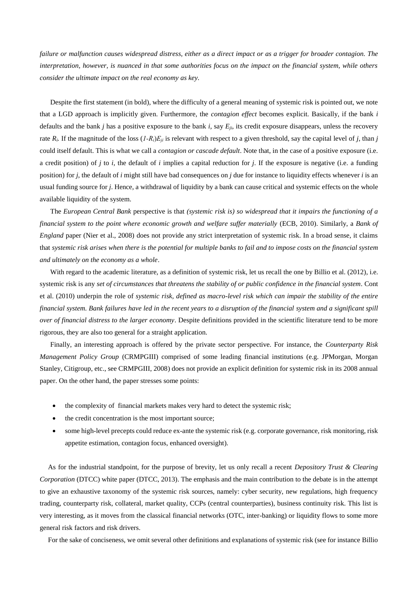*failure or malfunction causes widespread distress, either as a direct impact or as a trigger for broader contagion. The interpretation, however, is nuanced in that some authorities focus on the impact on the financial system, while others consider the ultimate impact on the real economy as key.*

Despite the first statement (in bold), where the difficulty of a general meaning of systemic risk is pointed out, we note that a LGD approach is implicitly given. Furthermore, the *contagion effect* becomes explicit. Basically, if the bank *i* defaults and the bank *j* has a positive exposure to the bank *i*, say *Eji*, its credit exposure disappears, unless the recovery rate  $R_i$ . If the magnitude of the loss  $(I-R_i)E_{ii}$  is relevant with respect to a given threshold, say the capital level of *j*, than *j* could itself default. This is what we call a *contagion or cascade default*. Note that, in the case of a positive exposure (i.e. a credit position) of *j* to *i*, the default of *i* implies a capital reduction for *j*. If the exposure is negative (i.e. a funding position) for *j*, the default of *i* might still have bad consequences on *j* due for instance to liquidity effects whenever *i* is an usual funding source for *j*. Hence, a withdrawal of liquidity by a bank can cause critical and systemic effects on the whole available liquidity of the system.

The *European Central Bank* perspective is that *(systemic risk is) so widespread that it impairs the functioning of a financial system to the point where economic growth and welfare suffer materially* (ECB, 2010). Similarly, a *Bank of England* paper (Nier et al., 2008) does not provide any strict interpretation of systemic risk. In a broad sense, it claims that *systemic risk arises when there is the potential for multiple banks to fail and to impose costs on the financial system and ultimately on the economy as a whole*.

With regard to the academic literature, as a definition of systemic risk, let us recall the one by Billio et al. (2012), i.e. systemic risk is any *set of circumstances that threatens the stability of or public confidence in the financial system*. Cont et al. (2010) underpin the role of *systemic risk, defined as macro-level risk which can impair the stability of the entire financial system. Bank failures have led in the recent years to a disruption of the financial system and a significant spill over of financial distress to the larger economy*. Despite definitions provided in the scientific literature tend to be more rigorous, they are also too general for a straight application.

Finally, an interesting approach is offered by the private sector perspective. For instance, the *Counterparty Risk Management Policy Group* (CRMPGIII) comprised of some leading financial institutions (e.g. JPMorgan, Morgan Stanley, Citigroup, etc., see CRMPGIII, 2008) does not provide an explicit definition for systemic risk in its 2008 annual paper. On the other hand, the paper stresses some points:

- the complexity of financial markets makes very hard to detect the systemic risk;
- the credit concentration is the most important source;
- some high-level precepts could reduce ex-ante the systemic risk (e.g. corporate governance, risk monitoring, risk appetite estimation, contagion focus, enhanced oversight).

As for the industrial standpoint, for the purpose of brevity, let us only recall a recent *Depository Trust & Clearing Corporation* (DTCC) white paper (DTCC, 2013). The emphasis and the main contribution to the debate is in the attempt to give an exhaustive taxonomy of the systemic risk sources, namely: cyber security, new regulations, high frequency trading, counterparty risk, collateral, market quality, CCPs (central counterparties), business continuity risk. This list is very interesting, as it moves from the classical financial networks (OTC, inter-banking) or liquidity flows to some more general risk factors and risk drivers.

For the sake of conciseness, we omit several other definitions and explanations of systemic risk (see for instance Billio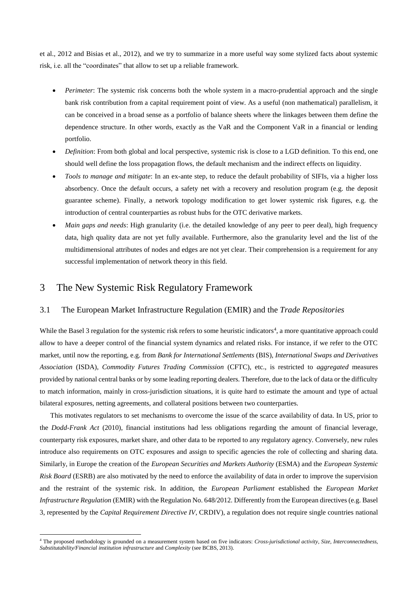et al., 2012 and Bisias et al., 2012), and we try to summarize in a more useful way some stylized facts about systemic risk, i.e. all the "coordinates" that allow to set up a reliable framework.

- *Perimeter*: The systemic risk concerns both the whole system in a macro-prudential approach and the single bank risk contribution from a capital requirement point of view. As a useful (non mathematical) parallelism, it can be conceived in a broad sense as a portfolio of balance sheets where the linkages between them define the dependence structure. In other words, exactly as the VaR and the Component VaR in a financial or lending portfolio.
- *Definition*: From both global and local perspective, systemic risk is close to a LGD definition. To this end, one should well define the loss propagation flows, the default mechanism and the indirect effects on liquidity.
- *Tools to manage and mitigate*: In an ex-ante step, to reduce the default probability of SIFIs, via a higher loss absorbency. Once the default occurs, a safety net with a recovery and resolution program (e.g. the deposit guarantee scheme). Finally, a network topology modification to get lower systemic risk figures, e.g. the introduction of central counterparties as robust hubs for the OTC derivative markets.
- *Main gaps and needs*: High granularity (i.e. the detailed knowledge of any peer to peer deal), high frequency data, high quality data are not yet fully available. Furthermore, also the granularity level and the list of the multidimensional attributes of nodes and edges are not yet clear. Their comprehension is a requirement for any successful implementation of network theory in this field.

#### 3 The New Systemic Risk Regulatory Framework

**.** 

#### 3.1 The European Market Infrastructure Regulation (EMIR) and the *Trade Repositories*

While the Basel 3 regulation for the systemic risk refers to some heuristic indicators<sup>4</sup>, a more quantitative approach could allow to have a deeper control of the financial system dynamics and related risks. For instance, if we refer to the OTC market, until now the reporting, e.g. from *Bank for International Settlements* (BIS), *International Swaps and Derivatives Association* (ISDA), *Commodity Futures Trading Commission* (CFTC), etc., is restricted to *aggregated* measures provided by national central banks or by some leading reporting dealers. Therefore, due to the lack of data or the difficulty to match information, mainly in cross-jurisdiction situations, it is quite hard to estimate the amount and type of actual bilateral exposures, netting agreements, and collateral positions between two counterparties.

This motivates regulators to set mechanisms to overcome the issue of the scarce availability of data. In US, prior to the *Dodd-Frank Act* (2010), financial institutions had less obligations regarding the amount of financial leverage, counterparty risk exposures, market share, and other data to be reported to any regulatory agency. Conversely, new rules introduce also requirements on OTC exposures and assign to specific agencies the role of collecting and sharing data. Similarly, in Europe the creation of the *European Securities and Markets Authority* (ESMA) and the *European Systemic Risk Board* (ESRB) are also motivated by the need to enforce the availability of data in order to improve the supervision and the restraint of the systemic risk. In addition, the *European Parliament* established the *European Market Infrastructure Regulation* (EMIR) with the Regulation No. 648/2012. Differently from the European directives (e.g. Basel 3, represented by the *Capital Requirement Directive IV*, CRDIV), a regulation does not require single countries national

<sup>4</sup> The proposed methodology is grounded on a measurement system based on five indicators: *Cross-jurisdictional activity, Size, Interconnectedness, Substitutability/Financial institution infrastructure* and *Complexity* (see BCBS, 2013).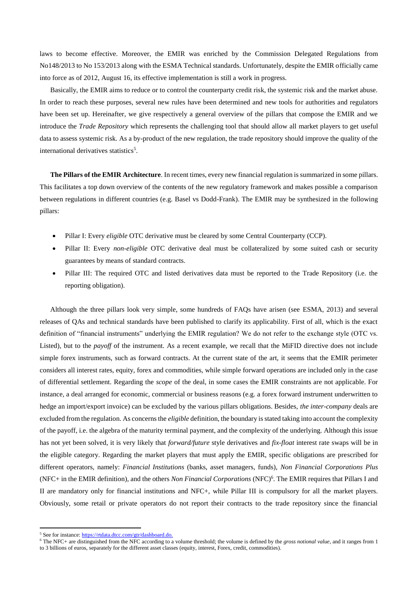laws to become effective. Moreover, the EMIR was enriched by the Commission Delegated Regulations from No148/2013 to No 153/2013 along with the ESMA Technical standards. Unfortunately, despite the EMIR officially came into force as of 2012, August 16, its effective implementation is still a work in progress.

Basically, the EMIR aims to reduce or to control the counterparty credit risk, the systemic risk and the market abuse. In order to reach these purposes, several new rules have been determined and new tools for authorities and regulators have been set up. Hereinafter, we give respectively a general overview of the pillars that compose the EMIR and we introduce the *Trade Repository* which represents the challenging tool that should allow all market players to get useful data to assess systemic risk. As a by-product of the new regulation, the trade repository should improve the quality of the international derivatives statistics<sup>5</sup>.

**The Pillars of the EMIR Architecture**. In recent times, every new financial regulation is summarized in some pillars. This facilitates a top down overview of the contents of the new regulatory framework and makes possible a comparison between regulations in different countries (e.g. Basel vs Dodd-Frank). The EMIR may be synthesized in the following pillars:

- Pillar I: Every *eligible* OTC derivative must be cleared by some Central Counterparty (CCP).
- Pillar II: Every *non-eligible* OTC derivative deal must be collateralized by some suited cash or security guarantees by means of standard contracts.
- Pillar III: The required OTC and listed derivatives data must be reported to the Trade Repository (i.e. the reporting obligation).

Although the three pillars look very simple, some hundreds of FAQs have arisen (see ESMA, 2013) and several releases of QAs and technical standards have been published to clarify its applicability. First of all, which is the exact definition of "financial instruments" underlying the EMIR regulation? We do not refer to the exchange style (OTC vs. Listed), but to the *payoff* of the instrument. As a recent example, we recall that the MiFID directive does not include simple forex instruments, such as forward contracts. At the current state of the art, it seems that the EMIR perimeter considers all interest rates, equity, forex and commodities, while simple forward operations are included only in the case of differential settlement. Regarding the *scope* of the deal, in some cases the EMIR constraints are not applicable. For instance, a deal arranged for economic, commercial or business reasons (e.g. a forex forward instrument underwritten to hedge an import/export invoice) can be excluded by the various pillars obligations. Besides, *the inter-company* deals are excluded from the regulation. As concerns the *eligible* definition, the boundary is stated taking into account the complexity of the payoff, i.e. the algebra of the maturity terminal payment, and the complexity of the underlying. Although this issue has not yet been solved, it is very likely that *forward/future* style derivatives and *fix-float* interest rate swaps will be in the eligible category. Regarding the market players that must apply the EMIR, specific obligations are prescribed for different operators, namely: *Financial Institutions* (banks, asset managers, funds), *Non Financial Corporations Plus* (NFC+ in the EMIR definition), and the others *Non Financial Corporations* (NFC)<sup>6</sup>. The EMIR requires that Pillars I and II are mandatory only for financial institutions and NFC+, while Pillar III is compulsory for all the market players. Obviously, some retail or private operators do not report their contracts to the trade repository since the financial

 $\overline{a}$ 

<sup>5</sup> See for instance: https://rtdata.dtcc.com/gtr/dashboard.do.

<sup>6</sup> The NFC+ are distinguished from the NFC according to a volume threshold; the volume is defined by the *gross notional value*, and it ranges from 1 to 3 billions of euros, separately for the different asset classes (equity, interest, Forex, credit, commodities).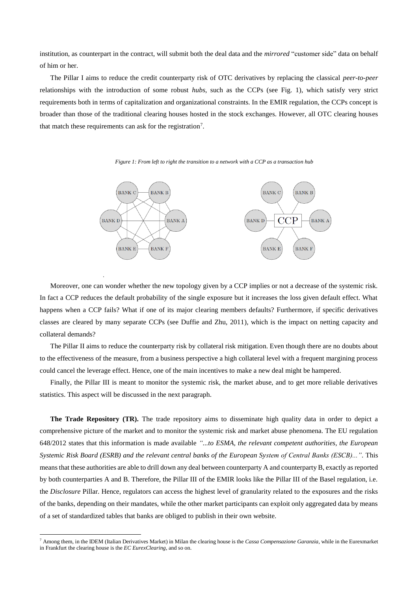institution, as counterpart in the contract, will submit both the deal data and the *mirrored* "customer side" data on behalf of him or her.

The Pillar I aims to reduce the credit counterparty risk of OTC derivatives by replacing the classical *peer-to-peer* relationships with the introduction of some robust *hubs*, such as the CCPs (see Fig. 1), which satisfy very strict requirements both in terms of capitalization and organizational constraints. In the EMIR regulation, the CCPs concept is broader than those of the traditional clearing houses hosted in the stock exchanges. However, all OTC clearing houses that match these requirements can ask for the registration<sup>7</sup>.



*Figure 1: From left to right the transition to a network with a CCP as a transaction hub*

Moreover, one can wonder whether the new topology given by a CCP implies or not a decrease of the systemic risk. In fact a CCP reduces the default probability of the single exposure but it increases the loss given default effect. What happens when a CCP fails? What if one of its major clearing members defaults? Furthermore, if specific derivatives classes are cleared by many separate CCPs (see Duffie and Zhu, 2011), which is the impact on netting capacity and collateral demands?

*.*

**.** 

The Pillar II aims to reduce the counterparty risk by collateral risk mitigation. Even though there are no doubts about to the effectiveness of the measure, from a business perspective a high collateral level with a frequent margining process could cancel the leverage effect. Hence, one of the main incentives to make a new deal might be hampered.

Finally, the Pillar III is meant to monitor the systemic risk, the market abuse, and to get more reliable derivatives statistics. This aspect will be discussed in the next paragraph.

**The Trade Repository (TR).** The trade repository aims to disseminate high quality data in order to depict a comprehensive picture of the market and to monitor the systemic risk and market abuse phenomena. The EU regulation 648/2012 states that this information is made available *"...to ESMA, the relevant competent authorities, the European Systemic Risk Board (ESRB) and the relevant central banks of the European System of Central Banks (ESCB)..."*. This means that these authorities are able to drill down any deal between counterparty A and counterparty B, exactly as reported by both counterparties A and B. Therefore, the Pillar III of the EMIR looks like the Pillar III of the Basel regulation, i.e. the *Disclosure* Pillar. Hence, regulators can access the highest level of granularity related to the exposures and the risks of the banks, depending on their mandates, while the other market participants can exploit only aggregated data by means of a set of standardized tables that banks are obliged to publish in their own website.

<sup>7</sup> Among them, in the IDEM (Italian Derivatives Market) in Milan the clearing house is the *Cassa Compensazione Garanzia*, while in the Eurexmarket in Frankfurt the clearing house is the *EC EurexClearing*, and so on.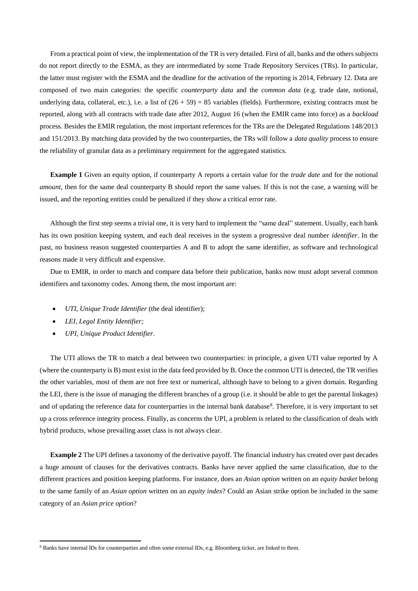From a practical point of view, the implementation of the TR is very detailed. First of all, banks and the others subjects do not report directly to the ESMA, as they are intermediated by some Trade Repository Services (TRs). In particular, the latter must register with the ESMA and the deadline for the activation of the reporting is 2014, February 12. Data are composed of two main categories: the specific *counterparty data* and the *common data* (e.g. trade date, notional, underlying data, collateral, etc.), i.e. a list of  $(26 + 59) = 85$  variables (fields). Furthermore, existing contracts must be reported, along with all contracts with trade date after 2012, August 16 (when the EMIR came into force) as a *backload* process. Besides the EMIR regulation, the most important references for the TRs are the Delegated Regulations 148/2013 and 151/2013. By matching data provided by the two counterparties, the TRs will follow a *data quality* process to ensure the reliability of granular data as a preliminary requirement for the aggregated statistics.

**Example 1** Given an equity option, if counterparty A reports a certain value for the *trade date* and for the notional *amount*, then for the same deal counterparty B should report the same values. If this is not the case, a warning will be issued, and the reporting entities could be penalized if they show a critical error rate.

Although the first step seems a trivial one, it is very hard to implement the "same deal" statement. Usually, each bank has its own position keeping system, and each deal receives in the system a progressive deal number *identifier*. In the past, no business reason suggested counterparties A and B to adopt the same identifier, as software and technological reasons made it very difficult and expensive.

Due to EMIR, in order to match and compare data before their publication, banks now must adopt several common identifiers and taxonomy codes. Among them, the most important are:

- *UTI, Unique Trade Identifier* (the deal identifier);
- *LEI, Legal Entity Identifier;*

**.** 

*UPI, Unique Product Identifier.*

The UTI allows the TR to match a deal between two counterparties: in principle, a given UTI value reported by A (where the counterparty is B) must exist in the data feed provided by B. Once the common UTI is detected, the TR verifies the other variables, most of them are not free text or numerical, although have to belong to a given domain. Regarding the LEI, there is the issue of managing the different branches of a group (i.e. it should be able to get the parental linkages) and of updating the reference data for counterparties in the internal bank database<sup>8</sup>. Therefore, it is very important to set up a cross reference integrity process. Finally, as concerns the UPI, a problem is related to the classification of deals with hybrid products, whose prevailing asset class is not always clear.

**Example 2** The UPI defines a taxonomy of the derivative payoff. The financial industry has created over past decades a huge amount of clauses for the derivatives contracts. Banks have never applied the same classification, due to the different practices and position keeping platforms. For instance, does an *Asian option* written on an *equity basket* belong to the same family of an *Asian option* written on an *equity index*? Could an Asian strike option be included in the same category of an *Asian price option*?

<sup>&</sup>lt;sup>8</sup> Banks have internal IDs for counterparties and often some external IDs, e.g. Bloomberg ticker, are linked to them.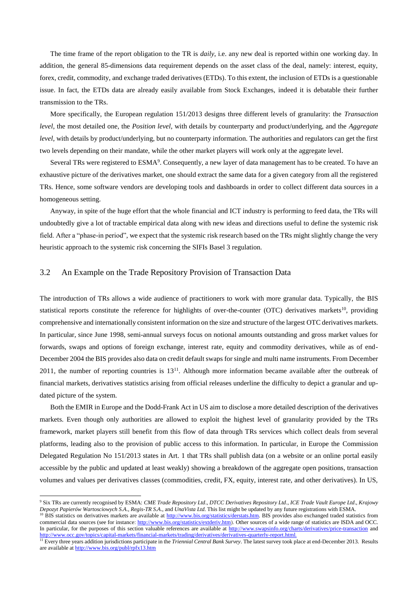The time frame of the report obligation to the TR is *daily*, i.e. any new deal is reported within one working day. In addition, the general 85-dimensions data requirement depends on the asset class of the deal, namely: interest, equity, forex, credit, commodity, and exchange traded derivatives (ETDs). To this extent, the inclusion of ETDs is a questionable issue. In fact, the ETDs data are already easily available from Stock Exchanges, indeed it is debatable their further transmission to the TRs.

More specifically, the European regulation 151/2013 designs three different levels of granularity: the *Transaction level*, the most detailed one, the *Position level*, with details by counterparty and product/underlying, and the *Aggregate level*, with details by product/underlying, but no counterparty information. The authorities and regulators can get the first two levels depending on their mandate, while the other market players will work only at the aggregate level.

Several TRs were registered to ESMA<sup>9</sup>. Consequently, a new layer of data management has to be created. To have an exhaustive picture of the derivatives market, one should extract the same data for a given category from all the registered TRs. Hence, some software vendors are developing tools and dashboards in order to collect different data sources in a homogeneous setting.

Anyway, in spite of the huge effort that the whole financial and ICT industry is performing to feed data, the TRs will undoubtedly give a lot of tractable empirical data along with new ideas and directions useful to define the systemic risk field. After a "phase-in period", we expect that the systemic risk research based on the TRs might slightly change the very heuristic approach to the systemic risk concerning the SIFIs Basel 3 regulation.

#### 3.2 An Example on the Trade Repository Provision of Transaction Data

**.** 

The introduction of TRs allows a wide audience of practitioners to work with more granular data. Typically, the BIS statistical reports constitute the reference for highlights of over-the-counter (OTC) derivatives markets<sup>10</sup>, providing comprehensive and internationally consistent information on the size and structure of the largest OTC derivatives markets. In particular, since June 1998, semi-annual surveys focus on notional amounts outstanding and gross market values for forwards, swaps and options of foreign exchange, interest rate, equity and commodity derivatives, while as of end-December 2004 the BIS provides also data on credit default swaps for single and multi name instruments. From December 2011, the number of reporting countries is  $13^{11}$ . Although more information became available after the outbreak of financial markets, derivatives statistics arising from official releases underline the difficulty to depict a granular and updated picture of the system.

Both the EMIR in Europe and the Dodd-Frank Act in US aim to disclose a more detailed description of the derivatives markets. Even though only authorities are allowed to exploit the highest level of granularity provided by the TRs framework, market players still benefit from this flow of data through TRs services which collect deals from several platforms, leading also to the provision of public access to this information. In particular, in Europe the Commission Delegated Regulation No 151/2013 states in Art. 1 that TRs shall publish data (on a website or an online portal easily accessible by the public and updated at least weakly) showing a breakdown of the aggregate open positions, transaction volumes and values per derivatives classes (commodities, credit, FX, equity, interest rate, and other derivatives). In US,

<sup>9</sup> Six TRs are currently recognised by ESMA: *CME Trade Repository Ltd*., *DTCC Derivatives Repository Ltd*., *ICE Trade Vault Europe Ltd*., *Krajowy Depozyt Papierów Wartosciowych S.A*., *Regis-TR S.A*., and *UnaVista Ltd*. This list might be updated by any future registrations with ESMA.

<sup>&</sup>lt;sup>10</sup> BIS statistics on derivatives markets are available at [http://www.bis.org/statistics/derstats.htm.](http://www.bis.org/statistics/derstats.htm) BIS provides also exchanged traded statistics from commercial data sources (see for instance: [http://www.bis.org/statistics/extderiv.htm\)](http://www.bis.org/statistics/extderiv.htm). Other sources of a wide range of statistics are ISDA and OCC. In particular, for the purposes of this section valuable references are available a[t http://www.swapsinfo.org/charts/derivatives/price-transaction](http://www.swapsinfo.org/charts/derivatives/price-transaction) and http://www.occ.gov/topics/capital-markets/financial-markets/trading/derivatives/derivatives-quarterly-report.html.

<sup>&</sup>lt;sup>11</sup> Every three years addition jurisdictions participate in the *Triennial Central Bank Survey*. The latest survey took place at end-December 2013. Results are available at http://www.bis.org/publ/rpfx13.htm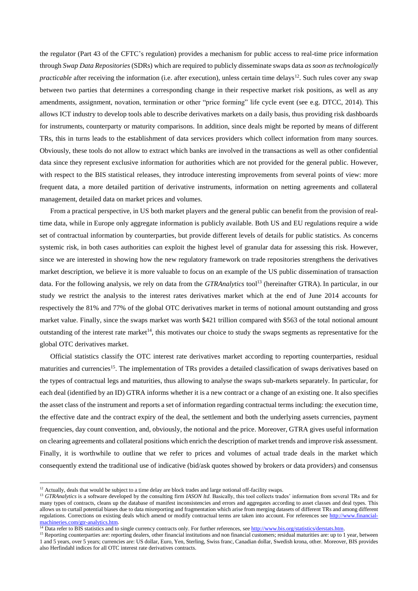the regulator (Part 43 of the CFTC's regulation) provides a mechanism for public access to real-time price information through *Swap Data Repositories* (SDRs) which are required to publicly disseminate swaps data *as soon as technologically practicable* after receiving the information (i.e. after execution), unless certain time delays<sup>12</sup>. Such rules cover any swap between two parties that determines a corresponding change in their respective market risk positions, as well as any amendments, assignment, novation, termination or other "price forming" life cycle event (see e.g. DTCC, 2014). This allows ICT industry to develop tools able to describe derivatives markets on a daily basis, thus providing risk dashboards for instruments, counterparty or maturity comparisons. In addition, since deals might be reported by means of different TRs, this in turns leads to the establishment of data services providers which collect information from many sources. Obviously, these tools do not allow to extract which banks are involved in the transactions as well as other confidential data since they represent exclusive information for authorities which are not provided for the general public. However, with respect to the BIS statistical releases, they introduce interesting improvements from several points of view: more frequent data, a more detailed partition of derivative instruments, information on netting agreements and collateral management, detailed data on market prices and volumes.

From a practical perspective, in US both market players and the general public can benefit from the provision of realtime data, while in Europe only aggregate information is publicly available. Both US and EU regulations require a wide set of contractual information by counterparties, but provide different levels of details for public statistics. As concerns systemic risk, in both cases authorities can exploit the highest level of granular data for assessing this risk. However, since we are interested in showing how the new regulatory framework on trade repositories strengthens the derivatives market description, we believe it is more valuable to focus on an example of the US public dissemination of transaction data. For the following analysis, we rely on data from the *GTRAnalytics* tool<sup>13</sup> (hereinafter GTRA). In particular, in our study we restrict the analysis to the interest rates derivatives market which at the end of June 2014 accounts for respectively the 81% and 77% of the global OTC derivatives market in terms of notional amount outstanding and gross market value. Finally, since the swaps market was worth \$421 trillion compared with \$563 of the total notional amount outstanding of the interest rate market<sup>14</sup>, this motivates our choice to study the swaps segments as representative for the global OTC derivatives market.

Official statistics classify the OTC interest rate derivatives market according to reporting counterparties, residual maturities and currencies<sup>15</sup>. The implementation of TRs provides a detailed classification of swaps derivatives based on the types of contractual legs and maturities, thus allowing to analyse the swaps sub-markets separately. In particular, for each deal (identified by an ID) GTRA informs whether it is a new contract or a change of an existing one. It also specifies the asset class of the instrument and reports a set of information regarding contractual terms including: the execution time, the effective date and the contract expiry of the deal, the settlement and both the underlying assets currencies, payment frequencies, day count convention, and, obviously, the notional and the price. Moreover, GTRA gives useful information on clearing agreements and collateral positions which enrich the description of market trends and improve risk assessment. Finally, it is worthwhile to outline that we refer to prices and volumes of actual trade deals in the market which consequently extend the traditional use of indicative (bid/ask quotes showed by brokers or data providers) and consensus

1

<sup>&</sup>lt;sup>12</sup> Actually, deals that would be subject to a time delay are block trades and large notional off-facility swaps.

<sup>&</sup>lt;sup>13</sup> GTRAnalytics is a software developed by the consulting firm *IASON ltd*. Basically, this tool collects trades' information from several TRs and for many types of contracts, cleans up the database of manifest inconsistencies and errors and aggregates according to asset classes and deal types. This allows us to curtail potential biases due to data misreporting and fragmentation which arise from merging datasets of different TRs and among different regulations. Corrections on existing deals which amend or modify contractual terms are taken into account. For references see [http://www.financial](http://www.financial-machineries.com/gtr-analytics.htm)[machineries.com/gtr-analytics.htm.](http://www.financial-machineries.com/gtr-analytics.htm)

<sup>&</sup>lt;sup>14</sup> Data refer to BIS statistics and to single currency contracts only. For further references, se[e http://www.bis.org/statistics/derstats.htm.](http://www.bis.org/statistics/derstats.htm)

<sup>&</sup>lt;sup>15</sup> Reporting counterparties are: reporting dealers, other financial institutions and non financial customers; residual maturities are: up to 1 year, between 1 and 5 years, over 5 years; currencies are: US dollar, Euro, Yen, Sterling, Swiss franc, Canadian dollar, Swedish krona, other. Moreover, BIS provides also Herfindahl indices for all OTC interest rate derivatives contracts.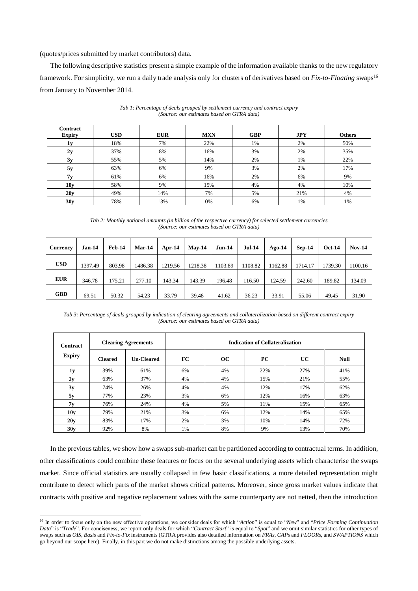(quotes/prices submitted by market contributors) data.

 $\overline{a}$ 

The following descriptive statistics present a simple example of the information available thanks to the new regulatory framework. For simplicity, we run a daily trade analysis only for clusters of derivatives based on *Fix-to-Floating* swaps<sup>16</sup> from January to November 2014.

| <b>Contract</b><br><b>Expiry</b> | <b>USD</b> | <b>EUR</b> | <b>MXN</b> | <b>GBP</b> | <b>JPY</b> | <b>Others</b> |
|----------------------------------|------------|------------|------------|------------|------------|---------------|
| 1y                               | 18%        | 7%         | 22%        | 1%         | 2%         | 50%           |
| 2v                               | 37%        | 8%         | 16%        | 3%         | 2%         | 35%           |
| 3y                               | 55%        | 5%         | 14%        | 2%         | 1%         | 22%           |
| 5y                               | 63%        | 6%         | 9%         | 3%         | 2%         | 17%           |
| 7v                               | 61%        | 6%         | 16%        | 2%         | 6%         | 9%            |
| 10 <sub>y</sub>                  | 58%        | 9%         | 15%        | 4%         | 4%         | 10%           |
| 20y                              | 49%        | 14%        | 7%         | 5%         | 21%        | 4%            |
| 30v                              | 78%        | 13%        | 0%         | 6%         | 1%         | 1%            |

*Tab 1: Percentage of deals grouped by settlement currency and contract expiry (Source: our estimates based on GTRA data)*

*Tab 2: Monthly notional amounts (in billion of the respective currency) for selected settlement currencies (Source: our estimates based on GTRA data)*

| <b>Currency</b> | $Jan-14$ | Feb-14 | Mar-14  | Apr-14  | $Mav-14$ | $Jun-14$ | <b>Jul-14</b> | $Ago-14$ | $Sep-14$ | <b>Oct-14</b> | $Nov-14$ |
|-----------------|----------|--------|---------|---------|----------|----------|---------------|----------|----------|---------------|----------|
| <b>USD</b>      | 1397.49  | 803.98 | 1486.38 | 1219.56 | 1218.38  | 1103.89  | 1108.82       | 1162.88  | 1714.17  | 1739.30       | 1100.16  |
| <b>EUR</b>      | 346.78   | 175.21 | 277.10  | 143.34  | 143.39   | 196.48   | 116.50        | 124.59   | 242.60   | 189.82        | 134.09   |
| <b>GBD</b>      | 69.51    | 50.32  | 54.23   | 33.79   | 39.48    | 41.62    | 36.23         | 33.91    | 55.06    | 49.45         | 31.90    |

*Tab 3: Percentage of deals grouped by indication of clearing agreements and collateralization based on different contract expiry (Source: our estimates based on GTRA data)*

| <b>Contract</b><br><b>Expiry</b> |                | <b>Clearing Agreements</b> | <b>Indication of Collateralization</b> |    |           |     |             |  |  |
|----------------------------------|----------------|----------------------------|----------------------------------------|----|-----------|-----|-------------|--|--|
|                                  | <b>Cleared</b> | <b>Un-Cleared</b>          | FC                                     | OC | <b>PC</b> | UC  | <b>Null</b> |  |  |
| 1 <sub>y</sub>                   | 39%            | 61%                        | 6%                                     | 4% | 22%       | 27% | 41%         |  |  |
| 2y                               | 63%            | 37%                        | 4%                                     | 4% | 15%       | 21% | 55%         |  |  |
| 3y                               | 74%            | 26%                        | 4%                                     | 4% | 12%       | 17% | 62%         |  |  |
| 5y                               | 77%            | 23%                        | 3%                                     | 6% | 12%       | 16% | 63%         |  |  |
| 7y                               | 76%            | 24%                        | 4%                                     | 5% | 11%       | 15% | 65%         |  |  |
| 10v                              | 79%            | 21%                        | 3%                                     | 6% | 12%       | 14% | 65%         |  |  |
| 20y                              | 83%            | 17%                        | 2%                                     | 3% | 10%       | 14% | 72%         |  |  |
| 30v                              | 92%            | 8%                         | 1%                                     | 8% | 9%        | 13% | 70%         |  |  |

In the previous tables, we show how a swaps sub-market can be partitioned according to contractual terms. In addition, other classifications could combine these features or focus on the several underlying assets which characterise the swaps market. Since official statistics are usually collapsed in few basic classifications, a more detailed representation might contribute to detect which parts of the market shows critical patterns. Moreover, since gross market values indicate that contracts with positive and negative replacement values with the same counterparty are not netted, then the introduction

<sup>16</sup> In order to focus only on the new effective operations, we consider deals for which "*Action*" is equal to "*New*" and "*Price Forming Continuation Data*" is "*Trade*". For conciseness, we report only deals for which "*Contract Start*" is equal to "*Spot*" and we omit similar statistics for other types of swaps such as *OIS*, *Basis* and *Fix-to-Fix* instruments (GTRA provides also detailed information on *FRAs*, *CAPs* and *FLOORs,* and *SWAPTIONS* which go beyond our scope here). Finally, in this part we do not make distinctions among the possible underlying assets.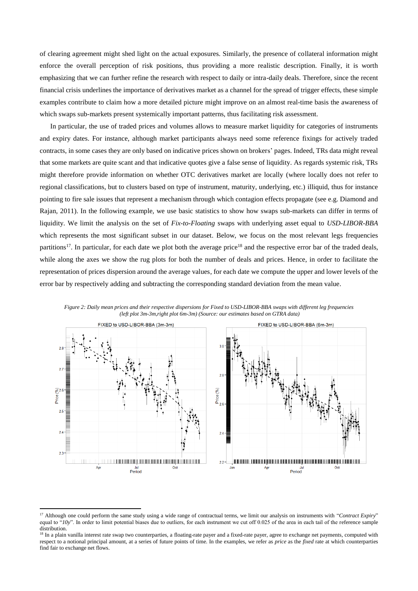of clearing agreement might shed light on the actual exposures. Similarly, the presence of collateral information might enforce the overall perception of risk positions, thus providing a more realistic description. Finally, it is worth emphasizing that we can further refine the research with respect to daily or intra-daily deals. Therefore, since the recent financial crisis underlines the importance of derivatives market as a channel for the spread of trigger effects, these simple examples contribute to claim how a more detailed picture might improve on an almost real-time basis the awareness of which swaps sub-markets present systemically important patterns, thus facilitating risk assessment.

In particular, the use of traded prices and volumes allows to measure market liquidity for categories of instruments and expiry dates. For instance, although market participants always need some reference fixings for actively traded contracts, in some cases they are only based on indicative prices shown on brokers' pages. Indeed, TRs data might reveal that some markets are quite scant and that indicative quotes give a false sense of liquidity. As regards systemic risk, TRs might therefore provide information on whether OTC derivatives market are locally (where locally does not refer to regional classifications, but to clusters based on type of instrument, maturity, underlying, etc.) illiquid, thus for instance pointing to fire sale issues that represent a mechanism through which contagion effects propagate (see e.g. Diamond and Rajan, 2011). In the following example, we use basic statistics to show how swaps sub-markets can differ in terms of liquidity. We limit the analysis on the set of *Fix-to-Floating* swaps with underlying asset equal to *USD-LIBOR-BBA* which represents the most significant subset in our dataset. Below, we focus on the most relevant legs frequencies partitions<sup>17</sup>. In particular, for each date we plot both the average price<sup>18</sup> and the respective error bar of the traded deals, while along the axes we show the rug plots for both the number of deals and prices. Hence, in order to facilitate the representation of prices dispersion around the average values, for each date we compute the upper and lower levels of the error bar by respectively adding and subtracting the corresponding standard deviation from the mean value.



*Figure 2: Daily mean prices and their respective dispersions for Fixed to USD-LIBOR-BBA swaps with different leg frequencies (left plot 3m-3m,right plot 6m-3m) (Source: our estimates based on GTRA data)*

**.** 

<sup>&</sup>lt;sup>17</sup> Although one could perform the same study using a wide range of contractual terms, we limit our analysis on instruments with "Contract Expiry" equal to "*10y*". In order to limit potential biases due to outliers, for each instrument we cut off 0.025 of the area in each tail of the reference sample distribution.

<sup>&</sup>lt;sup>18</sup> In a plain vanilla interest rate swap two counterparties, a floating-rate payer and a fixed-rate payer, agree to exchange net payments, computed with respect to a notional principal amount, at a series of future points of time. In the examples, we refer as *price* as the *fixed* rate at which counterparties find fair to exchange net flows.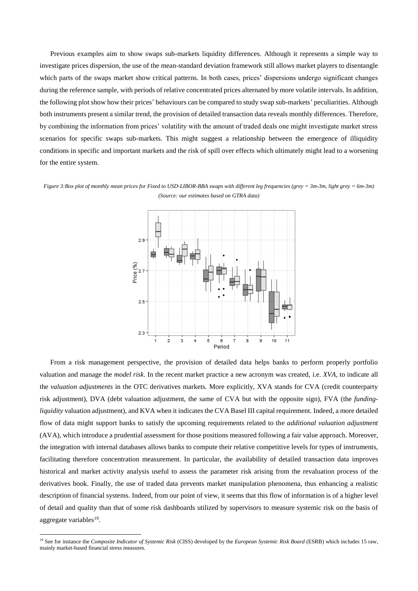Previous examples aim to show swaps sub-markets liquidity differences. Although it represents a simple way to investigate prices dispersion, the use of the mean-standard deviation framework still allows market players to disentangle which parts of the swaps market show critical patterns. In both cases, prices' dispersions undergo significant changes during the reference sample, with periods of relative concentrated prices alternated by more volatile intervals. In addition, the following plot show how their prices' behaviours can be compared to study swap sub-markets' peculiarities. Although both instruments present a similar trend, the provision of detailed transaction data reveals monthly differences. Therefore, by combining the information from prices' volatility with the amount of traded deals one might investigate market stress scenarios for specific swaps sub-markets. This might suggest a relationship between the emergence of illiquidity conditions in specific and important markets and the risk of spill over effects which ultimately might lead to a worsening for the entire system.

*Figure 3:Box plot of monthly mean prices for Fixed to USD-LIBOR-BBA swaps with different leg frequencies (grey = 3m-3m, light grey = 6m-3m) (Source: our estimates based on GTRA data)*



From a risk management perspective, the provision of detailed data helps banks to perform properly portfolio valuation and manage the *model risk*. In the recent market practice a new acronym was created, i.e. *XVA*, to indicate all the *valuation adjustments* in the OTC derivatives markets. More explicitly, XVA stands for CVA (credit counterparty risk adjustment), DVA (debt valuation adjustment, the same of CVA but with the opposite sign), FVA (the *fundingliquidity* valuation adjustment), and KVA when it indicates the CVA Basel III capital requirement. Indeed, a more detailed flow of data might support banks to satisfy the upcoming requirements related to the *additional valuation adjustment* (AVA), which introduce a prudential assessment for those positions measured following a fair value approach. Moreover, the integration with internal databases allows banks to compute their relative competitive levels for types of instruments, facilitating therefore concentration measurement. In particular, the availability of detailed transaction data improves historical and market activity analysis useful to assess the parameter risk arising from the revaluation process of the derivatives book. Finally, the use of traded data prevents market manipulation phenomena, thus enhancing a realistic description of financial systems. Indeed, from our point of view, it seems that this flow of information is of a higher level of detail and quality than that of some risk dashboards utilized by supervisors to measure systemic risk on the basis of aggregate variables<sup>19</sup>.

**.** 

<sup>19</sup> See for instance the *Composite Indicator of Systemic Risk* (CISS) developed by the *European Systemic Risk Board* (ESRB) which includes 15 raw, mainly market-based financial stress measures.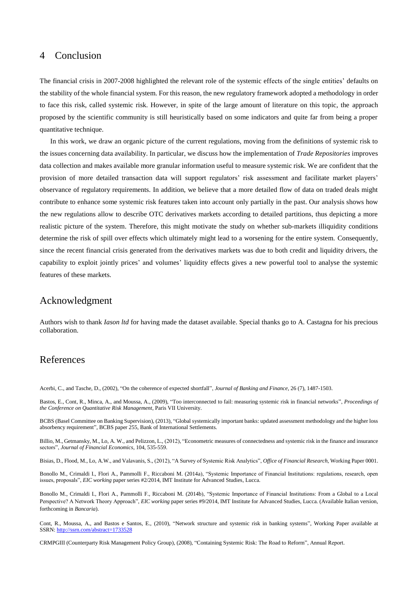#### 4 Conclusion

The financial crisis in 2007-2008 highlighted the relevant role of the systemic effects of the single entities' defaults on the stability of the whole financial system. For this reason, the new regulatory framework adopted a methodology in order to face this risk, called systemic risk. However, in spite of the large amount of literature on this topic, the approach proposed by the scientific community is still heuristically based on some indicators and quite far from being a proper quantitative technique.

In this work, we draw an organic picture of the current regulations, moving from the definitions of systemic risk to the issues concerning data availability. In particular, we discuss how the implementation of *Trade Repositories* improves data collection and makes available more granular information useful to measure systemic risk. We are confident that the provision of more detailed transaction data will support regulators' risk assessment and facilitate market players' observance of regulatory requirements. In addition, we believe that a more detailed flow of data on traded deals might contribute to enhance some systemic risk features taken into account only partially in the past. Our analysis shows how the new regulations allow to describe OTC derivatives markets according to detailed partitions, thus depicting a more realistic picture of the system. Therefore, this might motivate the study on whether sub-markets illiquidity conditions determine the risk of spill over effects which ultimately might lead to a worsening for the entire system. Consequently, since the recent financial crisis generated from the derivatives markets was due to both credit and liquidity drivers, the capability to exploit jointly prices' and volumes' liquidity effects gives a new powerful tool to analyse the systemic features of these markets.

#### Acknowledgment

Authors wish to thank *Iason ltd* for having made the dataset available. Special thanks go to A. Castagna for his precious collaboration.

#### References

Acerbi, C., and Tasche, D., (2002), "On the coherence of expected shortfall", *Journal of Banking and Finance*, 26 (7), 1487-1503.

Bastos, E., Cont, R., Minca, A., and Moussa, A., (2009), "Too interconnected to fail: measuring systemic risk in financial networks", *Proceedings of the Conference on Quantitative Risk Management*, Paris VII University.

BCBS (Basel Committee on Banking Supervision), (2013), "Global systemically important banks: updated assessment methodology and the higher loss absorbency requirement", BCBS paper 255, Bank of International Settlements.

Billio, M., Getmansky, M., Lo, A. W., and Pelizzon, L., (2012), "Econometric measures of connectedness and systemic risk in the finance and insurance sectors", *Journal of Financial Economics*, 104, 535-559.

Bisias, D., Flood, M., Lo, A.W., and Valavanis, S., (2012), "A Survey of Systemic Risk Analytics", *Office of Financial Research*, Working Paper 0001.

Bonollo M., Crimaldi I., Flori A., Pammolli F., Riccaboni M. (2014a), "Systemic Importance of Financial Institutions: regulations, research, open issues, proposals", *EIC working* paper series #2/2014, IMT Institute for Advanced Studies, Lucca.

Bonollo M., Crimaldi I., Flori A., Pammolli F., Riccaboni M. (2014b), "Systemic Importance of Financial Institutions: From a Global to a Local Perspective? A Network Theory Approach", *EIC working paper series #9/2014*, IMT Institute for Advanced Studies, Lucca. (Available Italian version, forthcoming in *Bancaria*).

Cont, R., Moussa, A., and Bastos e Santos, E., (2010), "Network structure and systemic risk in banking systems", Working Paper available at SSRN: <http://ssrn.com/abstract=1733528>

CRMPGIII (Counterparty Risk Management Policy Group), (2008), "Containing Systemic Risk: The Road to Reform", Annual Report.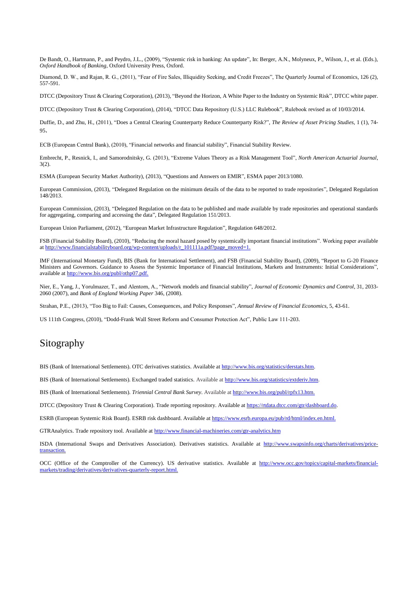De Bandt, O., Hartmann, P., and Peydro, J.L., (2009), "Systemic risk in banking: An update", In: Berger, A.N., Molyneux, P., Wilson, J., et al. (Eds.), *Oxford Handbook of Banking*, Oxford University Press, Oxford.

Diamond, D. W., and Rajan, R. G., (2011), "Fear of Fire Sales, Illiquidity Seeking, and Credit Freezes", The Quarterly Journal of Economics, 126 (2), 557-591.

DTCC (Depository Trust & Clearing Corporation), (2013), "Beyond the Horizon, A White Paper to the Industry on Systemic Risk", DTCC white paper.

DTCC (Depository Trust & Clearing Corporation), (2014), "DTCC Data Repository (U.S.) LLC Rulebook", Rulebook revised as of 10/03/2014.

Duffie, D., and Zhu, H., (2011), "Does a Central Clearing Counterparty Reduce Counterparty Risk?", *The Review of Asset Pricing Studies*, 1 (1), 74- 95.

ECB (European Central Bank), (2010), "Financial networks and financial stability", Financial Stability Review.

Embrecht, P., Resnick, I., and Samorodnitsky, G. (2013), "Extreme Values Theory as a Risk Management Tool", *North American Actuarial Journal*, 3(2).

ESMA (European Security Market Authority), (2013), "Questions and Answers on EMIR", ESMA paper 2013/1080.

European Commission, (2013), "Delegated Regulation on the minimum details of the data to be reported to trade repositories", Delegated Regulation 148/2013.

European Commission, (2013), "Delegated Regulation on the data to be published and made available by trade repositories and operational standards for aggregating, comparing and accessing the data", Delegated Regulation 151/2013.

European Union Parliament, (2012), "European Market Infrastructure Regulation", Regulation 648/2012.

FSB (Financial Stability Board), (2010), "Reducing the moral hazard posed by systemically important financial institutions". Working paper available at http://www.financialstabilityboard.org/wp-content/uploads/r\_101111a.pdf?page\_moved=1.

IMF (International Monetary Fund), BIS (Bank for International Settlement), and FSB (Financial Stability Board), (2009), "Report to G-20 Finance Ministers and Governors. Guidance to Assess the Systemic Importance of Financial Institutions, Markets and Instruments: Initial Considerations", available at http://www.bis.org/publ/othp07.pdf.

Nier, E., Yang, J., Yorulmazer, T., and Alentorn, A., "Network models and financial stability", *Journal of Economic Dynamics and Control*, 31, 2033- 2060 (2007), and *Bank of England Working Paper* 346, (2008).

Strahan, P.E., (2013), "Too Big to Fail: Causes, Consequences, and Policy Responses", *Annual Review of Financial Economics*, 5, 43-61.

US 111th Congress, (2010), "Dodd-Frank Wall Street Reform and Consumer Protection Act", Public Law 111-203.

#### Sitography

BIS (Bank of International Settlements). OTC derivatives statistics. Available at [http://www.bis.org/statistics/derstats.htm.](http://www.bis.org/statistics/derstats.htm)

BIS (Bank of International Settlements). Exchanged traded statistics. Available a[t http://www.bis.org/statistics/extderiv.htm.](http://www.bis.org/statistics/extderiv.htm)

BIS (Bank of International Settlements). *Triennial Central Bank Survey*. Available a[t http://www.bis.org/publ/rpfx13.htm.](http://www.bis.org/publ/rpfx13.htm)

DTCC (Depository Trust & Clearing Corporation). Trade reporting repository. Available a[t https://rtdata.dtcc.com/gtr/dashboard.do.](https://rtdata.dtcc.com/gtr/dashboard.do)

ESRB (European Systemic Risk Board). ESRB risk dashboard. Available at [https://www.esrb.europa.eu/pub/rd/html/index.en.html.](https://www.esrb.europa.eu/pub/rd/html/index.en.html)

GTRAnalytics. Trade repository tool. Available at<http://www.financial-machineries.com/gtr-analytics.htm>

ISDA (International Swaps and Derivatives Association). Derivatives statistics. Available at http://www.swapsinfo.org/charts/derivatives/pricetransaction.

OCC (Office of the Comptroller of the Currency). US derivative statistics. Available at http://www.occ.gov/topics/capital-markets/financialmarkets/trading/derivatives/derivatives-quarterly-report.html.